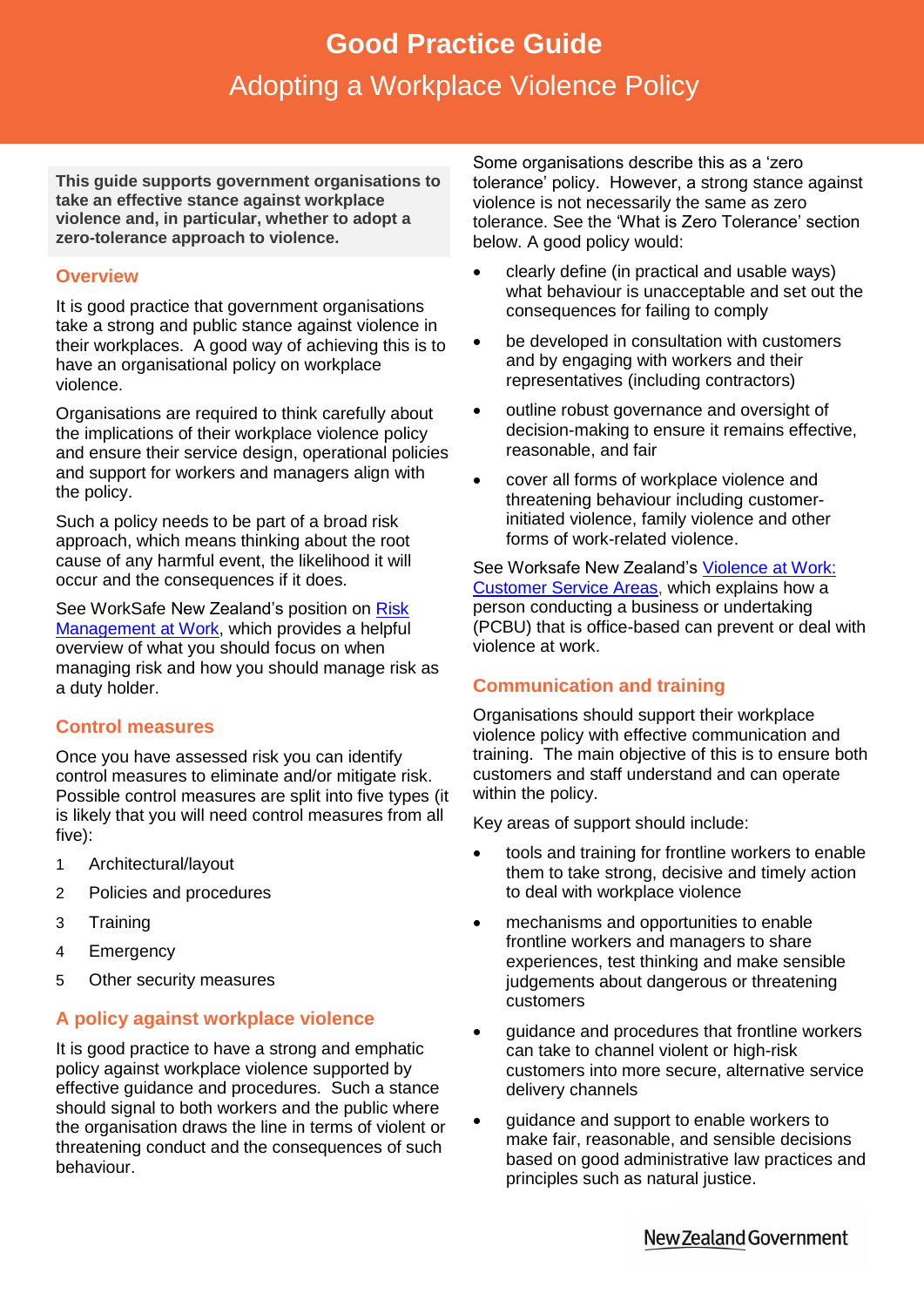# **Good Practice Guide**<br>Sting a Workplace Violence P Adopting a Workplace Violence Policy **Good Practice Guide** Adopting a Workplace Violence Policy

**This guide supports government organisations to take an effective stance against workplace violence and, in particular, whether to adopt a zero-tolerance approach to violence.**

## **Overview**

It is good practice that government organisations take a strong and public stance against violence in their workplaces. A good way of achieving this is to have an organisational policy on workplace violence.

Organisations are required to think carefully about the implications of their workplace violence policy and ensure their service design, operational policies and support for workers and managers align with the policy.

Such a policy needs to be part of a broad risk approach, which means thinking about the root cause of any harmful event, the likelihood it will occur and the consequences if it does.

See WorkSafe New Zealand's position on [Risk](http://www.worksafe.govt.nz/worksafe/information-guidance/all-guidance-items/position-statements/risk-management-at-work)  [Management at Work,](http://www.worksafe.govt.nz/worksafe/information-guidance/all-guidance-items/position-statements/risk-management-at-work) which provides a helpful overview of what you should focus on when managing risk and how you should manage risk as a duty holder.

# **Control measures**

Once you have assessed risk you can identify control measures to eliminate and/or mitigate risk. Possible control measures are split into five types (it is likely that you will need control measures from all five):

- 1 Architectural/layout
- 2 Policies and procedures
- 3 Training
- 4 Emergency
- 5 Other security measures

# **A policy against workplace violence**

It is good practice to have a strong and emphatic policy against workplace violence supported by effective guidance and procedures. Such a stance should signal to both workers and the public where the organisation draws the line in terms of violent or threatening conduct and the consequences of such behaviour.

Some organisations describe this as a 'zero tolerance' policy. However, a strong stance against violence is not necessarily the same as zero tolerance. See the 'What is Zero Tolerance' section below. A good policy would:

- clearly define (in practical and usable ways) what behaviour is unacceptable and set out the consequences for failing to comply
- be developed in consultation with customers and by engaging with workers and their representatives (including contractors)
- outline robust governance and oversight of decision-making to ensure it remains effective, reasonable, and fair
- cover all forms of workplace violence and threatening behaviour including customerinitiated violence, family violence and other forms of work-related violence.

See Worksafe New Zealand's [Violence at Work:](http://www.worksafe.govt.nz/worksafe/information-guidance/all-guidance-items/violence-at-work-customer-service-areas)  [Customer Service Areas,](http://www.worksafe.govt.nz/worksafe/information-guidance/all-guidance-items/violence-at-work-customer-service-areas) which explains how a person conducting a business or undertaking (PCBU) that is office-based can prevent or deal with violence at work.

# **Communication and training**

Organisations should support their workplace violence policy with effective communication and training. The main objective of this is to ensure both customers and staff understand and can operate within the policy.

Key areas of support should include:

- tools and training for frontline workers to enable them to take strong, decisive and timely action to deal with workplace violence
- mechanisms and opportunities to enable frontline workers and managers to share experiences, test thinking and make sensible judgements about dangerous or threatening customers
- guidance and procedures that frontline workers can take to channel violent or high-risk customers into more secure, alternative service delivery channels
- guidance and support to enable workers to make fair, reasonable, and sensible decisions based on good administrative law practices and principles such as natural justice.